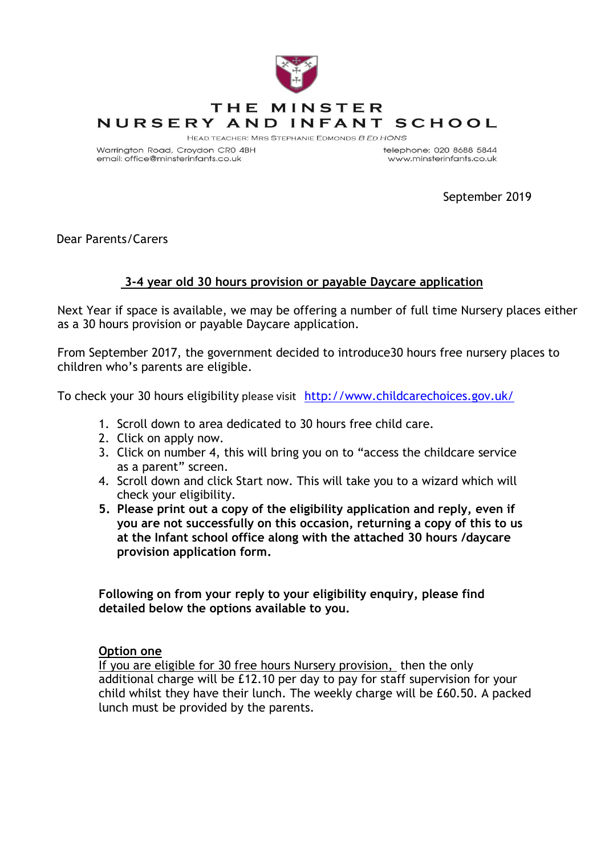

Warrington Road, Croydon CR0 4BH email: office@minsterinfants.co.uk

telephone: 020 8688 5844 www.minsterinfants.co.uk

September 2019

Dear Parents/Carers

## **3-4 year old 30 hours provision or payable Daycare application**

Next Year if space is available, we may be offering a number of full time Nursery places either as a 30 hours provision or payable Daycare application.

From September 2017, the government decided to introduce30 hours free nursery places to children who's parents are eligible.

To check your 30 hours eligibility please visit <http://www.childcarechoices.gov.uk/>

- 1. Scroll down to area dedicated to 30 hours free child care.
- 2. Click on apply now.
- 3. Click on number 4, this will bring you on to "access the childcare service as a parent" screen.
- 4. Scroll down and click Start now. This will take you to a wizard which will check your eligibility.
- **5. Please print out a copy of the eligibility application and reply, even if you are not successfully on this occasion, returning a copy of this to us at the Infant school office along with the attached 30 hours /daycare provision application form.**

**Following on from your reply to your eligibility enquiry, please find detailed below the options available to you.**

## **Option one**

If you are eligible for 30 free hours Nursery provision, then the only additional charge will be £12.10 per day to pay for staff supervision for your child whilst they have their lunch. The weekly charge will be £60.50. A packed lunch must be provided by the parents.